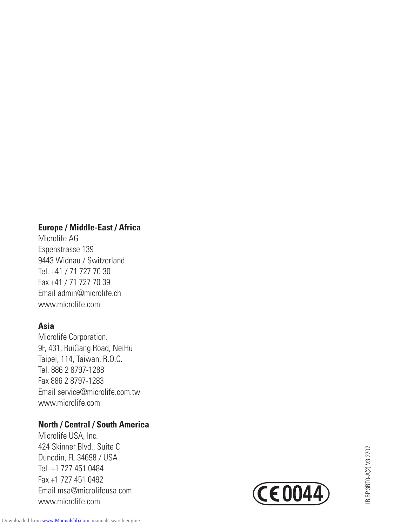#### **Europe / Middle-East / Africa**

Microlife AG Espenstrasse 139 9443 Widnau / Switzerland Tel. +41 / 71 727 70 30 Fax +41 / 71 727 70 39 Email admin@microlife.ch www.microlife.com

# **Asia**

Microlife Corporation. 9F, 431, RuiGang Road, NeiHu Taipei, 114, Taiwan, R.O.C. Tel. 886 2 8797-1288 Fax.886 2 8797-1283 Email service@microlife.com.tw www.microlife.com

# **North / Central / South America**

Microlife USA, Inc. 424 Skinner Blvd., Suite C Dunedin, FL 34698 / USA Tel. +1 727 451 0484 Fax +1 727 451 0492 Email msa@microlifeusa.com www.microlife.com

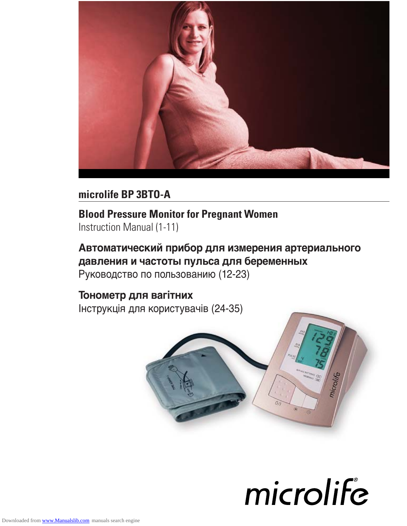

# **microlife BP 3BTO-A**

# **Blood Pressure Monitor for Pregnant Women** Instruction Manual (1-11)

# **Автоматический прибор для измерения артериального давления и частоты пульса для бepeмeнныx** Руководство по пользованию (12-23)

# **Тонометр для вагітних**

Інструкція для користувачів (24-35)



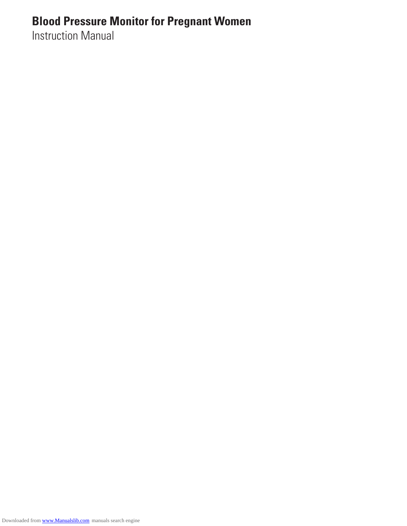# **Blood Pressure Monitor for Pregnant Women**

Instruction Manual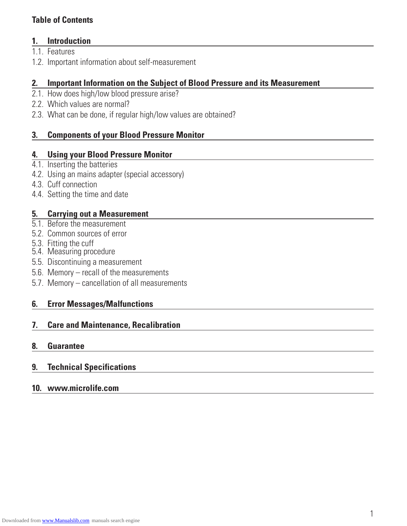# **Table of Contents**

# **1. Introduction**

- 1.1 Features
- 1.2. Important information about self-measurement

# **2. Important Information on the Subject of Blood Pressure and its Measurement**

- 2.1. How does high/low blood pressure arise?
- 2.2. Which values are normal?
- 2.3. What can be done, if regular high/low values are obtained?

# **3. Components of your Blood Pressure Monitor**

#### **4. Using your Blood Pressure Monitor**

- 4.1. Inserting the batteries
- 4.2. Using an mains adapter (special accessory)
- 4.3. Cuff connection
- 4.4. Setting the time and date

# **5. Carrying out a Measurement**

- 5.1. Before the measurement
- 5.2. Common sources of error
- 5.3. Fitting the cuff
- 5.4. Measuring procedure
- 5.5. Discontinuing a measurement
- 5.6. Memory recall of the measurements
- 5.7. Memory cancellation of all measurements

# **6. Error Messages/Malfunctions**

#### **7. Care and Maintenance, Recalibration**

#### **8. Guarantee**

# **9. Technical Specifications**

#### **10. www.microlife.com**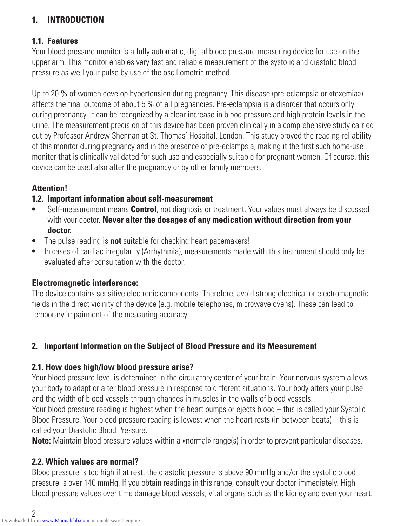# **1. INTRODUCTION**

# **1.1. Features**

Your blood pressure monitor is a fully automatic, digital blood pressure measuring device for use on the upper arm. This monitor enables very fast and reliable measurement of the systolic and diastolic blood pressure as well your pulse by use of the oscillometric method.

Up to 20 % of women develop hypertension during pregnancy. This disease (pre-eclampsia or «toxemia») affects the final outcome of about 5 % of all pregnancies. Pre-eclampsia is a disorder that occurs only during pregnancy. It can be recognized by a clear increase in blood pressure and high protein levels in the urine. The measurement precision of this device has been proven clinically in a comprehensive study carried out by Professor Andrew Shennan at St. Thomas' Hospital, London. This study proved the reading reliability of this monitor during pregnancy and in the presence of pre-eclampsia, making it the first such home-use monitor that is clinically validated for such use and especially suitable for pregnant women. Of course, this device can be used also after the pregnancy or by other family members.

# **Attention!**

# **1.2. Important information about self-measurement**

- **•** Self-measurement means **Control**, not diagnosis or treatment. Your values must always be discussed with your doctor. **Never alter the dosages of any medication without direction from your doctor.**
- **•** The pulse reading is **not** suitable for checking heart pacemakers!
- **•** In cases of cardiac irregularity (Arrhythmia), measurements made with this instrument should only be evaluated after consultation with the doctor.

# **Electromagnetic interference:**

The device contains sensitive electronic components. Therefore, avoid strong electrical or electromagnetic fields in the direct vicinity of the device (e.g. mobile telephones, microwave ovens). These can lead to temporary impairment of the measuring accuracy.

# **2. Important Information on the Subject of Blood Pressure and its Measurement**

# **2.1. How does high/low blood pressure arise?**

Your blood pressure level is determined in the circulatory center of your brain. Your nervous system allows your body to adapt or alter blood pressure in response to different situations. Your body alters your pulse and the width of blood vessels through changes in muscles in the walls of blood vessels.

Your blood pressure reading is highest when the heart pumps or ejects blood – this is called your Systolic Blood Pressure. Your blood pressure reading is lowest when the heart rests (in-between beats) – this is called your Diastolic Blood Pressure.

**Note:** Maintain blood pressure values within a «normal» range(s) in order to prevent particular diseases.

# **2.2. Which values are normal?**

Blood pressure is too high if at rest, the diastolic pressure is above 90 mmHg and/or the systolic blood pressure is over 140 mmHg. If you obtain readings in this range, consult your doctor immediately. High blood pressure values over time damage blood vessels, vital organs such as the kidney and even your heart.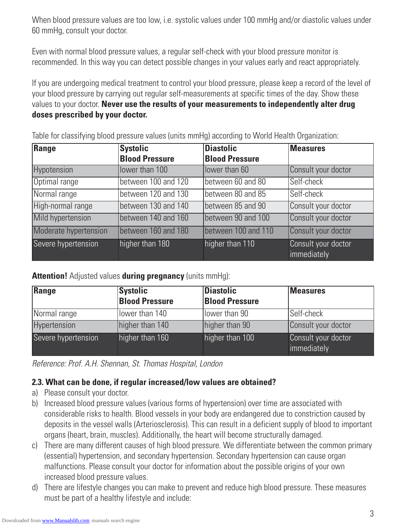When blood pressure values are too low, i.e. systolic values under 100 mmHg and/or diastolic values under 60 mmHg, consult your doctor.

Even with normal blood pressure values, a regular self-check with your blood pressure monitor is recommended. In this way you can detect possible changes in your values early and react appropriately.

If you are undergoing medical treatment to control your blood pressure, please keep a record of the level of your blood pressure by carrying out regular self-measurements at specific times of the day. Show these values to your doctor. **Never use the results of your measurements to independently alter drug doses prescribed by your doctor.**

| Range                 | <b>Systolic</b>       | <b>Diastolic</b>      | <b>Measures</b>                    |
|-----------------------|-----------------------|-----------------------|------------------------------------|
|                       | <b>Blood Pressure</b> | <b>Blood Pressure</b> |                                    |
| <b>Hypotension</b>    | lower than 100        | lower than 60         | Consult your doctor                |
| Optimal range         | between 100 and 120   | between 60 and 80     | Self-check                         |
| Normal range          | between 120 and 130   | between 80 and 85     | Self-check                         |
| High-normal range     | between 130 and 140   | between 85 and 90     | Consult your doctor                |
| Mild hypertension     | between 140 and 160   | between 90 and 100    | Consult your doctor                |
| Moderate hypertension | between 160 and 180   | between 100 and 110   | Consult your doctor                |
| Severe hypertension   | higher than 180       | higher than 110       | Consult your doctor<br>immediately |

Table for classifying blood pressure values (units mmHg) according to World Health Organization:

**Attention!** Adjusted values **during pregnancy** (units mmHg):

| Range               | <b>Systolic</b><br><b>Blood Pressure</b> | <b>Diastolic</b><br><b>Blood Pressure</b> | <b>Measures</b>                    |
|---------------------|------------------------------------------|-------------------------------------------|------------------------------------|
| Normal range        | llower than 140                          | llower than 90                            | ISelf-check                        |
| Hypertension        | higher than 140                          | higher than 90                            | Consult your doctor                |
| Severe hypertension | higher than 160                          | higher than 100                           | Consult your doctor<br>immediately |

Reference: Prof. A.H. Shennan, St. Thomas Hospital, London

# **2.3. What can be done, if regular increased/low values are obtained?**

- a) Please consult your doctor.
- b) Increased blood pressure values (various forms of hypertension) over time are associated with considerable risks to health. Blood vessels in your body are endangered due to constriction caused by deposits in the vessel walls (Arteriosclerosis). This can result in a deficient supply of blood to important organs (heart, brain, muscles). Additionally, the heart will become structurally damaged.
- c) There are many different causes of high blood pressure. We differentiate between the common primary (essential) hypertension, and secondary hypertension. Secondary hypertension can cause organ malfunctions. Please consult your doctor for information about the possible origins of your own increased blood pressure values.
- d) There are lifestyle changes you can make to prevent and reduce high blood pressure. These measures must be part of a healthy lifestyle and include: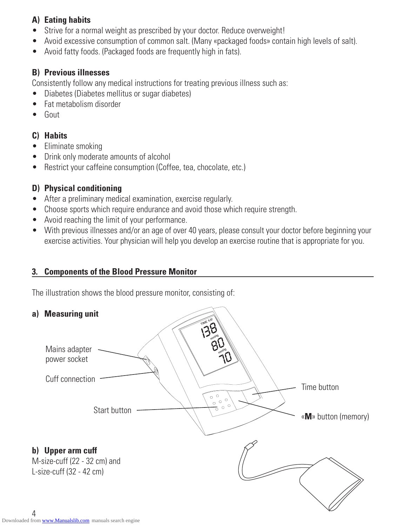# **A) Eating habits**

- Strive for a normal weight as prescribed by your doctor. Reduce overweight!
- Avoid excessive consumption of common salt. (Many «packaged foods» contain high levels of salt).
- Avoid fatty foods. (Packaged foods are frequently high in fats).

# **B) Previous illnesses**

Consistently follow any medical instructions for treating previous illness such as:

- Diabetes (Diabetes mellitus or sugar diabetes)
- Fat metabolism disorder
- Gout

# **C) Habits**

- Eliminate smoking
- Drink only moderate amounts of alcohol
- Restrict your caffeine consumption (Coffee, tea, chocolate, etc.)

# **D) Physical conditioning**

- After a preliminary medical examination, exercise regularly.
- Choose sports which require endurance and avoid those which require strength.
- Avoid reaching the limit of your performance.
- With previous illnesses and/or an age of over 40 years, please consult your doctor before beginning your exercise activities. Your physician will help you develop an exercise routine that is appropriate for you.

# **3. Components of the Blood Pressure Monitor**

The illustration shows the blood pressure monitor, consisting of:

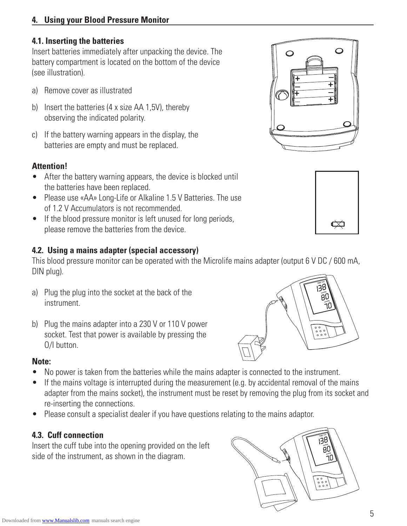# **4. Using your Blood Pressure Monitor**

# **4.1. Inserting the batteries**

Insert batteries immediately after unpacking the device. The battery compartment is located on the bottom of the device (see illustration).

- a) Remove cover as illustrated
- b) Insert the batteries (4 x size AA 1,5V), thereby observing the indicated polarity.
- c) If the battery warning appears in the display, the batteries are empty and must be replaced.

# **Attention!**

- After the battery warning appears, the device is blocked until the batteries have been replaced.
- Please use «AA» Long-Life or Alkaline 1.5 V Batteries. The use of 1.2 V Accumulators is not recommended.
- If the blood pressure monitor is left unused for long periods, please remove the batteries from the device.

# **4.2. Using a mains adapter (special accessory)**

This blood pressure monitor can be operated with the Microlife mains adapter (output 6 V DC / 600 mA, DIN plug).

- a) Plug the plug into the socket at the back of the instrument.
- b) Plug the mains adapter into a 230 V or 110 V power socket. Test that power is available by pressing the O/I button.

# **Note:**

- No power is taken from the batteries while the mains adapter is connected to the instrument.
- If the mains voltage is interrupted during the measurement (e.g. by accidental removal of the mains adapter from the mains socket), the instrument must be reset by removing the plug from its socket and re-inserting the connections.
- Please consult a specialist dealer if you have questions relating to the mains adaptor.

# **4.3. Cuff connection**

Insert the cuff tube into the opening provided on the left side of the instrument, as shown in the diagram.







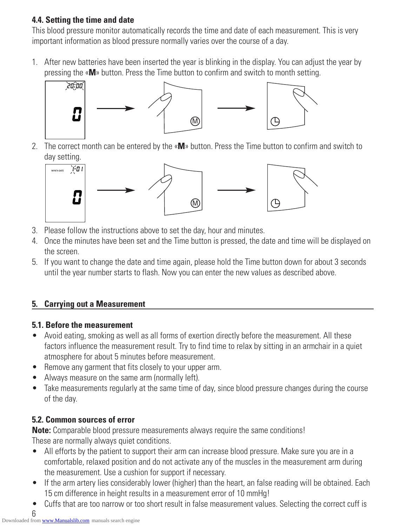# **4.4. Setting the time and date**

This blood pressure monitor automatically records the time and date of each measurement. This is very important information as blood pressure normally varies over the course of a day.

1. After new batteries have been inserted the year is blinking in the display. You can adjust the year by pressing the «**M**» button. Press the Time button to confirm and switch to month setting.



2. The correct month can be entered by the «**M**» button. Press the Time button to confirm and switch to day setting.



- 3. Please follow the instructions above to set the day, hour and minutes.
- 4. Once the minutes have been set and the Time button is pressed, the date and time will be displayed on the screen.
- 5. If you want to change the date and time again, please hold the Time button down for about 3 seconds until the year number starts to flash. Now you can enter the new values as described above.

# **5. Carrying out a Measurement**

# **5.1. Before the measurement**

- Avoid eating, smoking as well as all forms of exertion directly before the measurement. All these factors influence the measurement result. Try to find time to relax by sitting in an armchair in a quiet atmosphere for about 5 minutes before measurement.
- Remove any garment that fits closely to your upper arm.
- Always measure on the same arm (normally left).
- Take measurements regularly at the same time of day, since blood pressure changes during the course of the day.

# **5.2. Common sources of error**

**Note:** Comparable blood pressure measurements always require the same conditions! These are normally always quiet conditions.

- All efforts by the patient to support their arm can increase blood pressure. Make sure you are in a comfortable, relaxed position and do not activate any of the muscles in the measurement arm during the measurement. Use a cushion for support if necessary.
- If the arm artery lies considerably lower (higher) than the heart, an false reading will be obtained. Each 15 cm difference in height results in a measurement error of 10 mmHg!
- Cuffs that are too narrow or too short result in false measurement values. Selecting the correct cuff is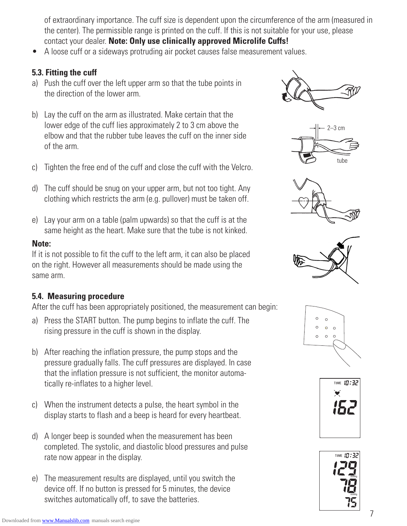of extraordinary importance. The cuff size is dependent upon the circumference of the arm (measured in the center). The permissible range is printed on the cuff. If this is not suitable for your use, please contact your dealer. **Note: Only use clinically approved Microlife Cuffs!**

• A loose cuff or a sideways protruding air pocket causes false measurement values.

# **5.3. Fitting the cuff**

- a) Push the cuff over the left upper arm so that the tube points in the direction of the lower arm.
- b) Lay the cuff on the arm as illustrated. Make certain that the lower edge of the cuff lies approximately 2 to 3 cm above the elbow and that the rubber tube leaves the cuff on the inner side of the arm.
- c) Tighten the free end of the cuff and close the cuff with the Velcro.
- d) The cuff should be snug on your upper arm, but not too tight. Any clothing which restricts the arm (e.g. pullover) must be taken off.
- e) Lay your arm on a table (palm upwards) so that the cuff is at the same height as the heart. Make sure that the tube is not kinked.

# **Note:**

If it is not possible to fit the cuff to the left arm, it can also be placed on the right. However all measurements should be made using the same arm.

# **5.4. Measuring procedure**

After the cuff has been appropriately positioned, the measurement can begin:

- a) Press the START button. The pump begins to inflate the cuff. The rising pressure in the cuff is shown in the display.
- b) After reaching the inflation pressure, the pump stops and the pressure gradually falls. The cuff pressures are displayed. In case that the inflation pressure is not sufficient, the monitor automatically re-inflates to a higher level.
- c) When the instrument detects a pulse, the heart symbol in the display starts to flash and a beep is heard for every heartbeat.
- d) A longer beep is sounded when the measurement has been completed. The systolic, and diastolic blood pressures and pulse rate now appear in the display.
- e) The measurement results are displayed, until you switch the device off. If no button is pressed for 5 minutes, the device switches automatically off, to save the batteries.













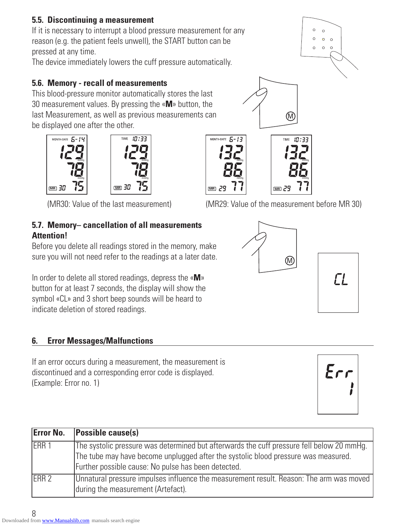# **5.5. Discontinuing a measurement**

If it is necessary to interrupt a blood pressure measurement for any reason (e.g. the patient feels unwell), the START button can be pressed at any time.

The device immediately lowers the cuff pressure automatically.

# **5.6. Memory - recall of measurements**

This blood-pressure monitor automatically stores the last 30 measurement values. By pressing the «**M**» button, the last Measurement, as well as previous measurements can be displayed one after the other.

mmHg

 **MR**

mmHg

MONTH-DATE  $5 - 1$ 

# **5.7. Memory– cancellation of all measurements Attention!**

Before you delete all readings stored in the memory, make sure you will not need refer to the readings at a later date.

In order to delete all stored readings, depress the «**M**» button for at least 7 seconds, the display will show the symbol «CL» and 3 short beep sounds will be heard to indicate deletion of stored readings.

# **6. Error Messages/Malfunctions**

If an error occurs during a measurement, the measurement is discontinued and a corresponding error code is displayed. (Example: Error no. 1)

| <b>Error No.</b> | <b>Possible cause(s)</b>                                                                                                                                                                                                               |
|------------------|----------------------------------------------------------------------------------------------------------------------------------------------------------------------------------------------------------------------------------------|
| ERR 1            | The systolic pressure was determined but afterwards the cuff pressure fell below 20 mmHg.<br>The tube may have become unplugged after the systolic blood pressure was measured.<br>Further possible cause: No pulse has been detected. |
| ERR <sub>2</sub> | Unnatural pressure impulses influence the measurement result. Reason: The arm was moved<br>during the measurement (Artefact).                                                                                                          |

# (MR30: Value of the last measurement) (MR29: Value of the measurement before MR 30)

 **MR**





mmHg







mmHg

 **MR**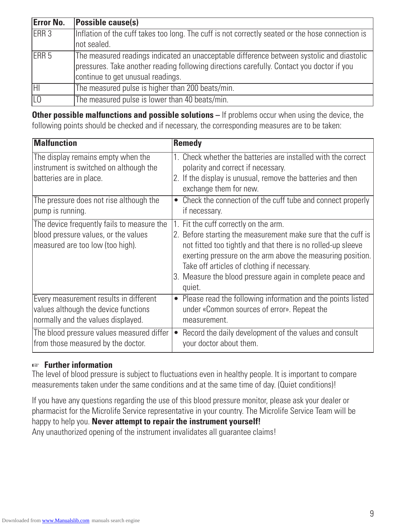| <b>Error No.</b> | <b>Possible cause(s)</b>                                                                         |
|------------------|--------------------------------------------------------------------------------------------------|
| ERR <sub>3</sub> | Inflation of the cuff takes too long. The cuff is not correctly seated or the hose connection is |
|                  | not sealed.                                                                                      |
| ERR <sub>5</sub> | The measured readings indicated an unacceptable difference between systolic and diastolic        |
|                  | pressures. Take another reading following directions carefully. Contact you doctor if you        |
|                  | continue to get unusual readings.                                                                |
| IНI              | The measured pulse is higher than 200 beats/min.                                                 |
|                  | The measured pulse is lower than 40 beats/min.                                                   |

**Other possible malfunctions and possible solutions** – If problems occur when using the device, the following points should be checked and if necessary, the corresponding measures are to be taken:

| <b>Malfunction</b>                                                                                                     | <b>Remedy</b>                                                                                                                                                                                                                                                                                                                                              |
|------------------------------------------------------------------------------------------------------------------------|------------------------------------------------------------------------------------------------------------------------------------------------------------------------------------------------------------------------------------------------------------------------------------------------------------------------------------------------------------|
| The display remains empty when the<br>instrument is switched on although the<br>batteries are in place.                | 1. Check whether the batteries are installed with the correct<br>polarity and correct if necessary.<br>2. If the display is unusual, remove the batteries and then<br>exchange them for new.                                                                                                                                                               |
| The pressure does not rise although the<br>pump is running.                                                            | Check the connection of the cuff tube and connect properly<br>if necessary.                                                                                                                                                                                                                                                                                |
| The device frequently fails to measure the<br>blood pressure values, or the values<br>measured are too low (too high). | 1. Fit the cuff correctly on the arm.<br>2. Before starting the measurement make sure that the cuff is<br>not fitted too tightly and that there is no rolled-up sleeve<br>exerting pressure on the arm above the measuring position.<br>Take off articles of clothing if necessary.<br>3. Measure the blood pressure again in complete peace and<br>quiet. |
| Every measurement results in different<br>values although the device functions<br>normally and the values displayed.   | Please read the following information and the points listed<br>$\bullet$<br>under «Common sources of error». Repeat the<br>measurement.                                                                                                                                                                                                                    |
| The blood pressure values measured differ<br>from those measured by the doctor.                                        | Record the daily development of the values and consult<br>$\bullet$<br>your doctor about them.                                                                                                                                                                                                                                                             |

# ☞ **Further information**

The level of blood pressure is subject to fluctuations even in healthy people. It is important to compare measurements taken under the same conditions and at the same time of day. (Quiet conditions)!

If you have any questions regarding the use of this blood pressure monitor, please ask your dealer or pharmacist for the Microlife Service representative in your country. The Microlife Service Team will be happy to help you. **Never attempt to repair the instrument yourself!** Any unauthorized opening of the instrument invalidates all guarantee claims!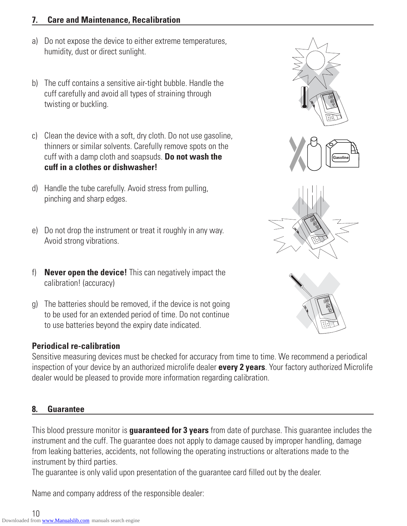# **7. Care and Maintenance, Recalibration**

- a) Do not expose the device to either extreme temperatures, humidity, dust or direct sunlight.
- b) The cuff contains a sensitive air-tight bubble. Handle the cuff carefully and avoid all types of straining through twisting or buckling.
- c) Clean the device with a soft, dry cloth. Do not use gasoline, thinners or similar solvents. Carefully remove spots on the cuff with a damp cloth and soapsuds. **Do not wash the cuff in a clothes or dishwasher!**
- d) Handle the tube carefully. Avoid stress from pulling, pinching and sharp edges.
- e) Do not drop the instrument or treat it roughly in any way. Avoid strong vibrations.
- f) **Never open the device!** This can negatively impact the calibration! (accuracy)
- g) The batteries should be removed, if the device is not going to be used for an extended period of time. Do not continue to use batteries beyond the expiry date indicated.

# **Periodical re-calibration**

Sensitive measuring devices must be checked for accuracy from time to time. We recommend a periodical inspection of your device by an authorized microlife dealer **every 2 years**. Your factory authorized Microlife dealer would be pleased to provide more information regarding calibration.

# **8. Guarantee**

This blood pressure monitor is **guaranteed for 3 years** from date of purchase. This guarantee includes the instrument and the cuff. The guarantee does not apply to damage caused by improper handling, damage from leaking batteries, accidents, not following the operating instructions or alterations made to the instrument by third parties.

The guarantee is only valid upon presentation of the guarantee card filled out by the dealer.

Name and company address of the responsible dealer:



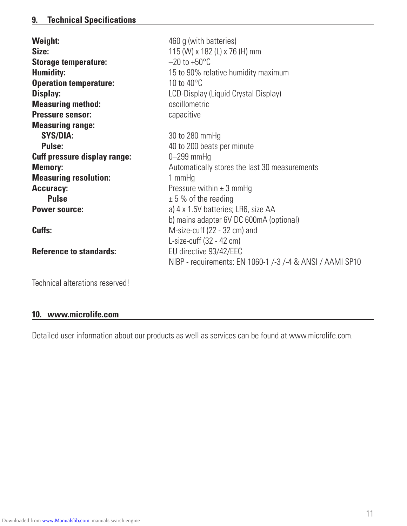| <b>Weight:</b>                      | 460 g (with batteries)                                    |
|-------------------------------------|-----------------------------------------------------------|
| Size:                               | 115 (W) x 182 (L) x 76 (H) mm                             |
| <b>Storage temperature:</b>         | $-20$ to $+50^{\circ}$ C                                  |
| <b>Humidity:</b>                    | 15 to 90% relative humidity maximum                       |
| <b>Operation temperature:</b>       | 10 to $40^{\circ}$ C                                      |
| Display:                            | LCD-Display (Liquid Crystal Display)                      |
| <b>Measuring method:</b>            | oscillometric                                             |
| <b>Pressure sensor:</b>             | capacitive                                                |
| <b>Measuring range:</b>             |                                                           |
| <b>SYS/DIA:</b>                     | 30 to 280 mmHg                                            |
| <b>Pulse:</b>                       | 40 to 200 beats per minute                                |
| <b>Cuff pressure display range:</b> | $0 - 299$ mmHg                                            |
| <b>Memory:</b>                      | Automatically stores the last 30 measurements             |
| <b>Measuring resolution:</b>        | 1 mmHg                                                    |
| <b>Accuracy:</b>                    | Pressure within $\pm$ 3 mmHg                              |
| <b>Pulse</b>                        | $± 5%$ of the reading                                     |
| <b>Power source:</b>                | a) 4 x 1.5V batteries; LR6, size AA                       |
|                                     | b) mains adapter 6V DC 600mA (optional)                   |
| Cuffs:                              | M-size-cuff (22 - 32 cm) and                              |
|                                     | L-size-cuff (32 - 42 cm)                                  |
| <b>Reference to standards:</b>      | EU directive 93/42/EEC                                    |
|                                     | NIBP - requirements: EN 1060-1 /-3 /-4 & ANSI / AAMI SP10 |
| Technical alterations reserved!     |                                                           |

# **10. www.microlife.com**

Detailed user information about our products as well as services can be found at www.microlife.com.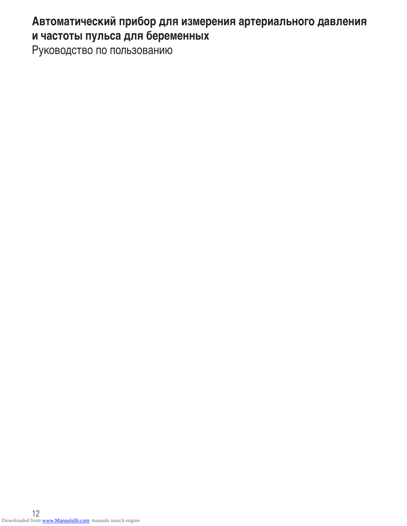# **Автоматический прибор для измерения артериального давления и частоты пульса для бepeмeнныx**

Руководство по пользованию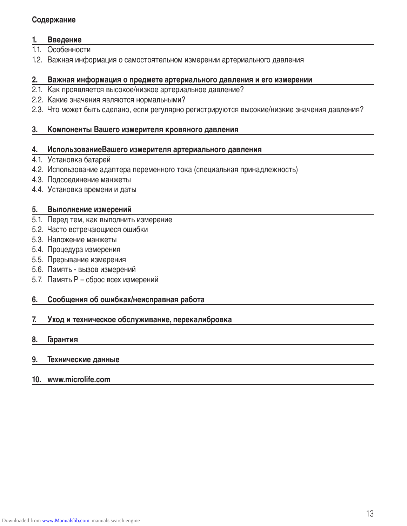#### **Содержание**

#### **1. Введение**

- 1.1. Особенности
- 1.2. Важная информация о самостоятельном измерении артериального давления

#### **2. Важная информация о предмете артериального давления и его измерении**

- 2.1. Как проявляется высокое/низкое артериальное давление?
- 2.2. Какие значения являются нормальными?
- 2.3. Что может быть сделано, если регулярно регистрируются высокие/низкие значения давления?

#### **3. Компоненты Вашего измерителя кровяного давления**

#### **4. ИспользованиеВашего измерителя артериального давления**

- 4.1. Установка батарей
- 4.2. Использование адаптера переменного тока (специальная принадлежность)
- 4.3. Подсоединение манжеты
- 4.4. Установка времени и даты

#### **5. Выполнение измерений**

- 5.1. Перед тем, как выполнить измерение
- 5.2. Часто встречающиеся ошибки
- 5.3. Наложение манжеты
- 5.4. Процедура измерения
- 5.5. Прерывание измерения
- 5.6. Память вызов измерений
- 5.7. Память Р сброс всех измерений

#### **6. Сообщения об ошибках/неисправная работа**

#### **7. Уход и техническое обслуживание, перекалибровка**

#### **8. Гарантия**

#### **9. Технические данные**

#### **10. www.microlife.com**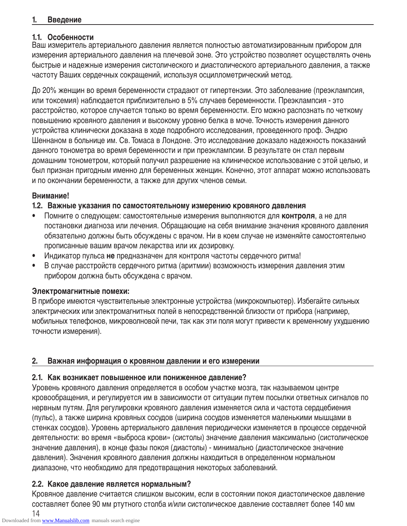#### **1. Введение**

#### **1.1. Особенности**

Ваш измеритель артериального давления является полностью автоматизированным прибором для измерения артериального давления на плечевой зоне. Это устройство позволяет осуществлять очень быстрые и надежные измерения систолического и диастолического артериального давления, а также частоту Ваших сердечных сокращений, используя осциллометрический метод.

До 20% женщин во время беременности страдают от гипертензии. Это заболевание (преэклампсия, или токсемия) наблюдается приблизительно в 5% случаев беременности. Преэклампсия - это расстройство, которое случается только во время беременности. Его можно распознать по четкому повышению кровяного давления и высокому уровню белка в моче. Точность измерения данного устройства клинически доказана в ходе подробного исследования, проведенного проф. Эндрю Шеннаном в больнице им. Св. Томаса в Лондоне. Это исследование доказало надежность показаний данного тонометра во время беременности и при преэклампсии. В результате он стал первым домашним тонометром, который получил разрешение на клиническое использование с этой целью, и был признан пригодным именно для беременных женщин. Конечно, этот аппарат можно использовать и по окончании беременности, а также для других членов семьи.

#### **Внимание!**

#### **1.2. Важные указания по самостоятельному измерению кровяного давления**

- Помните о следующем: самостоятельные измерения выполняются для **контроля**, а не для постановки диагноза или лечения. Обращающие на себя внимание значения кровяного давления обязательно должны быть обсуждены с врачом. Ни в коем случае не изменяйте самостоятельно прописанные вашим врачом лекарства или их дозировку.
- Индикатор пульса **не** предназначен для контроля частоты сердечного ритма!
- В случае расстройств сердечного ритма (аритмии) возможность измерения давления этим прибором должна быть обсуждена с врачом.

#### **Электромагнитные помехи:**

В приборе имеются чувствительные электронные устройства (микрокомпьютер). Избегайте сильных электрических или электромагнитных полей в непосредственной близости от прибора (например, мобильных телефонов, микроволновой печи, так как эти поля могут привести к временному ухудшению точности измерения).

#### **2. Важная информация о кровяном давлении и его измерении**

#### **2.1. Как возникает повышенное или пониженное давление?**

Уровень кровяного давления определяется в особом участке мозга, так называемом центре кровообращения, и регулируется им в зависимости от ситуации путем посылки ответных сигналов по нервным путям. Для регулировки кровяного давления изменяется сила и частота сердцебиения (пульс), а также ширина кровяных сосудов (ширина сосудов изменяется маленькими мышцами в стенках сосудов). Уровень артериального давления периодически изменяется в процессе сердечной деятельности: во время «выброса крови» (систолы) значение давления максимально (систолическое значение давления), в конце фазы покоя (диастолы) - минимально (диастолическое значение давления). Значения кровяного давления должны находиться в определенном нормальном диапазоне, что необходимо для предотвращения некоторых заболеваний.

# **2.2. Какое давление является нормальным?**

Кровяное давление считается слишком высоким, если в состоянии покоя диастолическое давление составляет более 90 мм ртутного столба и/или систолическое давление составляет более 140 мм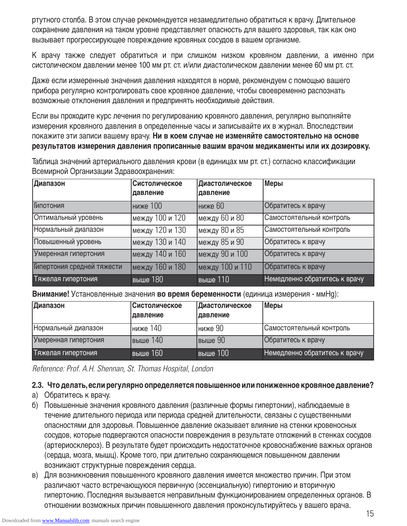ртутного столба. В этом случае рекомендуется незамедлительно обратиться к врачу. Длительное сохранение давления на таком уровне представляет опасность для вашего здоровья, так как оно вызывает прогрессирующее повреждение кровяных сосудов в вашем организме.

К врачу также следует обратиться и при слишком низком кровяном давлении, а именно при систолическом давлении менее 100 мм рт. ст. и/или диастолическом давлении менее 60 мм рт. ст.

Даже если измеренные значения давления находятся в норме, рекомендуем с помощью вашего прибора регулярно контролировать свое кровяное давление, чтобы своевременно распознать возможные отклонения давления и предпринять необходимые действия.

Если вы проходите курс лечения по регулированию кровяного давления, регулярно выполняйте измерения кровяного давления в определенные часы и записывайте их в журнал. Впоследствии покажите эти записи вашему врачу. **Ни в коем случае не изменяйте самостоятельно на основе результатов измерения давления прописанные вашим врачом медикаменты или их дозировку.**

Таблица значений артериального давления крови (в единицах мм рт. ст.) согласно классификации Всемирной Организации Здравоохранения:

| Диапазон                   | Систолическое<br>давление | Диастолическое<br>давление        | Меры                          |
|----------------------------|---------------------------|-----------------------------------|-------------------------------|
| Гипотония                  | ниже 100                  | ниже 60                           | Обратитесь к врачу            |
| Оптимальный уровень        | между 100 и 120           | между 60 и 80                     | Самостоятельный контроль      |
| Нормальный диапазон        | между 120 и 130           | между 80 и 85                     | Самостоятельный контроль      |
| Повышенный уровень         | между 130 и 140           | между 85 и 90                     | Обратитесь к врачу            |
| Умеренная гипертония       | между 140 и 160           | между 90 и 100                    | Обратитесь к врачу            |
| Гипертония средней тяжести | между 160 и 180           | между 100 и 110                   | Обратитесь к врачу            |
| Тяжелая гипертония         | <b>выше 180</b>           | $\overline{\phantom{0}}$ выше 110 | Немедленно обратитесь к врачу |

**Внимание!** Установленные значения **во время беременности** (единица измерения - ммHg):

| Диапазон             | <b>Систолическое</b><br> давление | Диастолическое<br> давление | <b>Меры</b>                   |
|----------------------|-----------------------------------|-----------------------------|-------------------------------|
| Нормальный диапазон  | Іниже 140                         | Іниже 90                    | Самостоятельный контроль      |
| Умеренная гипертония | Івыше 140                         | Івыше 90                    | Обратитесь к врачу            |
| Тяжелая гипертония   | <b>выше 160</b>                   | <b>выше 100</b>             | Немедленно обратитесь к врачу |

Reference: Prof. A.H. Shennan, St. Thomas Hospital, London

# **2.3. Что делать,если регулярно определяется повышенное или пониженное кровяное давление?**

- a) Обратитесь к врачу.
- б) Повышенные значения кровяного давления (различные формы гипертонии), наблюдаемые в течение длительного периода или периода средней длительности, связаны с существенными опасностями для здоровья. Повышенное давление оказывает влияние на стенки кровеносных сосудов, которые подвергаются опасности повреждения в результате отложений в стенках сосудов (артериосклероз). В результате будет происходить недостаточное кровоснабжение важных органов (сердца, мозга, мышц). Кроме того, при длительно сохраняющемся повышенном давлении возникают структурные повреждения сердца.
- в) Для возникновения повышенного кровяного давления имеется множество причин. При этом различают часто встречающуюся первичную (эссенциальную) гипертонию и вторичную гипертонию. Последняя вызывается неправильным функционированием определенных органов. В отношении возможных причин повышенного давления проконсультируйтесь у вашего врача.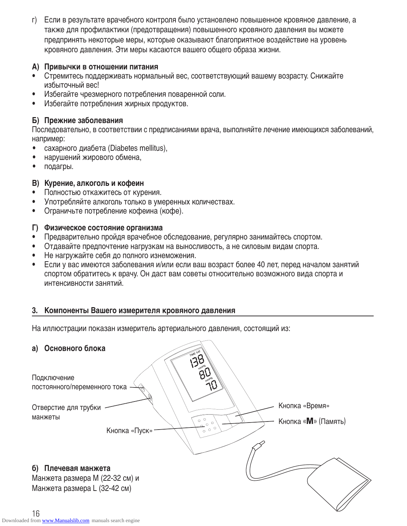г) Если в результате врачебного контроля было установлено повышенное кровяное давление, а также для профилактики (предотвращения) повышенного кровяного давления вы можете предпринять некоторые меры, которые оказывают благоприятное воздействие на уровень кровяного давления. Эти меры касаются вашего общего образа жизни.

#### **А) Привычки в отношении питания**

- Стремитесь поддерживать нормальный вес, соответствующий вашему возрасту. Снижайте избыточный вес!
- Избегайте чрезмерного потребления поваренной соли.
- Избегайте потребления жирных продуктов.

# **Б) Прежние заболевания**

Последовательно, в соответствии с предписаниями врача, выполняйте лечение имеющихся заболеваний, например:

- сахарного диабета (Diabetes mellitus),
- нарушений жирового обмена,
- подагры.

# **В) Курение, алкоголь и кофеин**

- Полностью откажитесь от курения.
- Употребляйте алкоголь только в умеренных количествах.
- Ограничьте потребление кофеина (кофе).

#### **Г) Физическое состояние организма**

- Предварительно пройдя врачебное обследование, регулярно занимайтесь спортом.
- Отдавайте предпочтение нагрузкам на выносливость, а не силовым видам спорта.
- Не нагружайте себя до полного изнеможения.
- Если у вас имеются заболевания и/или если ваш возраст более 40 лет, перед началом занятий спортом обратитесь к врачу. Он даст вам советы относительно возможного вида спорта и интенсивности занятий.

# **3. Компоненты Вашего измерителя кровяного давления**

На иллюстрации показан измеритель артериального давления, состоящий из:

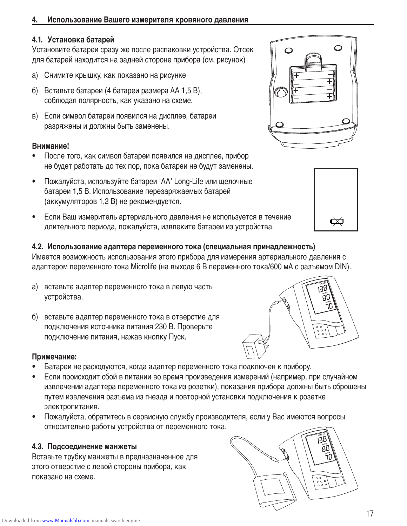# **4. Использование Вашего измерителя кровяного давления**

# **4.1. Установка батарей**

Установите батареи сразу же после распаковки устройства. Отсек для батарей находится на задней стороне прибора (см. рисунок)

- a) Снимите крышку, как показано на рисунке
- б) Вставьте батареи (4 батареи размера АА 1,5 В), соблюдая полярность, как указано на схеме.
- в) Если символ батареи появился на дисплее, батареи разряжены и должны быть заменены.

# **Внимание!**

- После того, как символ батареи появился на дисплее, прибор не будет работать до тех пор, пока батареи не будут заменены.
- Пожалуйста, используйте батареи 'АА' Long-Life или щелочные батареи 1,5 В. Использование перезаряжаемых батарей (аккумуляторов 1,2 В) не рекомендуется.
- Если Ваш измеритель артериального давления не используется в течение длительного периода, пожалуйста, извлеките батареи из устройства.

# **4.2. Использование адаптера переменного тока (специальная принадлежность)**

Имеется возможность использования этого прибора для измерения артериального давления с адаптером переменного тока Microlife (на выходе 6 В переменного тока/600 мА с разъемом DIN).

- a) вставьте адаптер переменного тока в левую часть устройства.
- б) вставьте адаптер переменного тока в отверстие для подключения источника питания 230 В. Проверьте подключение питания, нажав кнопку Пуск.

# **Примечание:**

- Батареи не расходуются, когда адаптер переменного тока подключен к прибору.
- Если происходит сбой в питании во время произведения измерений (например, при случайном извлечении адаптера переменного тока из розетки), показания прибора должны быть сброшены путем извлечения разъема из гнезда и повторной установки подключения к розетке электропитания.
- Пожалуйста, обратитесь в сервисную службу производителя, если у Вас имеются вопросы относительно работы устройства от переменного тока.

# **4.3. Подсоединение манжеты**

Вставьте трубку манжеты в предназначенное для этого отверстие с левой стороны прибора, как показано на схеме.







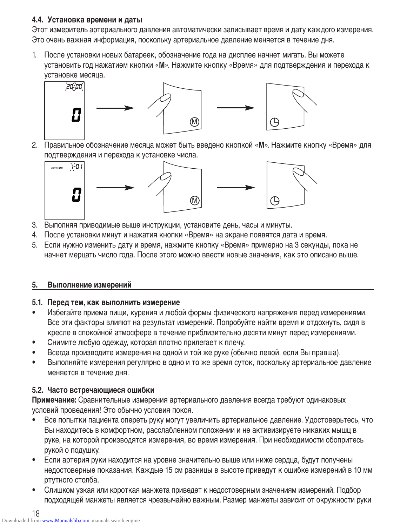# **4.4. Установка времени и даты**

Этот измеритель артериального давления автоматически записывает время и дату каждого измерения. Это очень важная информация, поскольку артериальное давление меняется в течение дня.

1. После установки новых батареек, обозначение года на дисплее начнет мигать. Вы можете установить год нажатием кнопки «**М**». Нажмите кнопку «Время» для подтверждения и перехода к установке месяца.



2. Правильное обозначение месяца может быть введено кнопкой «**М**». Нажмите кнопку «Время» для подтверждения и перехода к установке числа.



- 3. Выполняя приводимые выше инструкции, установите день, часы и минуты.
- 4. После установки минут и нажатия кнопки «Время» на экране появятся дата и время.
- 5. Если нужно изменить дату и время, нажмите кнопку «Время» примерно на 3 секунды, пока не начнет мерцать число года. После этого можно ввести новые значения, как это описано выше.

# **5. Выполнение измерений**

# **5.1. Перед тем, как выполнить измерение**

- Избегайте приема пищи, курения и любой формы физического напряжения перед измерениями. Все эти факторы влияют на результат измерений. Попробуйте найти время и отдохнуть, сидя в кресле в спокойной атмосфере в течение приблизительно десяти минут перед измерениями.
- Снимите любую одежду, которая плотно прилегает к плечу.
- Всегда производите измерения на одной и той же руке (обычно левой, если Вы правша).
- Выполняйте измерения регулярно в одно и то же время суток, поскольку артериальное давление меняется в течение дня.

# **5.2. Часто встречающиеся ошибки**

**Примечание:** Сравнительные измерения артериального давления всегда требуют одинаковых условий проведения! Это обычно условия покоя.

- Все попытки пациента опереть руку могут увеличить артериальное давление. Удостоверьтесь, что Вы находитесь в комфортном, расслабленном положении и не активизируете никаких мышц в руке, на которой производятся измерения, во время измерения. При необходимости обопритесь рукой о подушку.
- Если артерия руки находится на уровне значительно выше или ниже сердца, будут получены недостоверные показания. Каждые 15 см разницы в высоте приведут к ошибке измерений в 10 мм ртутного столба.
- Слишком узкая или короткая манжета приведет к недостоверным значениям измерений. Подбор подходящей манжеты является чрезвычайно важным. Размер манжеты зависит от окружности руки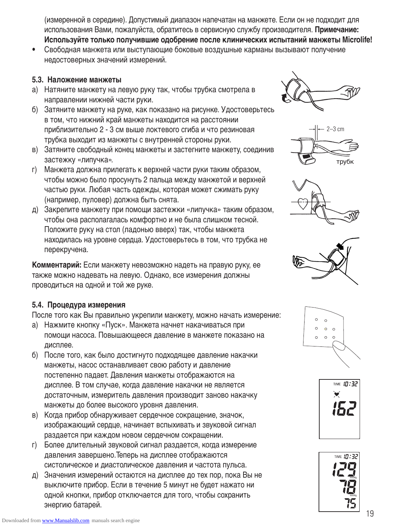(измеренной в середине). Допустимый диапазон напечатан на манжете. Если он не подходит для использования Вами, пожалуйста, обратитесь в сервисную службу производителя. **Примечание: Используйте только получившие одобрение после клинических испытаний манжеты Microlife!** 

• Свободная манжета или выступающие боковые воздушные карманы вызывают получение недостоверных значений измерений.

#### **5.3. Наложение манжеты**

- a) Натяните манжету на левую руку так, чтобы трубка смотрела в направлении нижней части руки.
- б) Затяните манжету на руке, как показано на рисунке. Удостоверьтесь в том, что нижний край манжеты находится на расстоянии приблизительно 2 - 3 см выше локтевого сгиба и что резиновая трубка выходит из манжеты с внутренней стороны руки.
- в) Затяните свободный конец манжеты и застегните манжету, соединив застежку «липучка».
- г) Манжета должна прилегать к верхней части руки таким образом, чтобы можно было просунуть 2 пальца между манжетой и верхней частью руки. Любая часть одежды, которая может сжимать руку (например, пуловер) должна быть снята.
- д) Закрепите манжету при помощи застежки «липучка» таким образом, чтобы она располагалась комфортно и не была слишком тесной. Положите руку на стол (ладонью вверх) так, чтобы манжета находилась на уровне сердца. Удостоверьтесь в том, что трубка не перекручена.

**Комментарий:** Если манжету невозможно надеть на правую руку, ее также можно надевать на левую. Однако, все измерения должны проводиться на одной и той же руке.

# **5.4. Процедура измерения**

После того как Вы правильно укрепили манжету, можно начать измерение:

- a) Нажмите кнопку «Пуск». Манжета начнет накачиваться при помощи насоса. Повышающееся давление в манжете показано на дисплее.
- б) После того, как было достигнуто подходящее давление накачки манжеты, насос останавливает свою работу и давление постепенно падает. Давления манжеты отображаются на дисплее. В том случае, когда давление накачки не является достаточным, измеритель давления производит заново накачку манжеты до более высокого уровня давления.
- в) Когда прибор обнаруживает сердечное сокращение, значок, изображающий сердце, начинает вспыхивать и звуковой сигнал раздается при каждом новом сердечном сокращении.
- г) Более длительный звуковой сигнал раздается, когда измерение давления завершено.Теперь на дисплее отображаются систолическое и диастолическое давления и частота пульса.
- д) Значения измерений остаются на дисплее до тех пор, пока Вы не выключите прибор. Если в течение 5 минут не будет нажато ни одной кнопки, прибор отключается для того, чтобы сохранить энергию батарей.













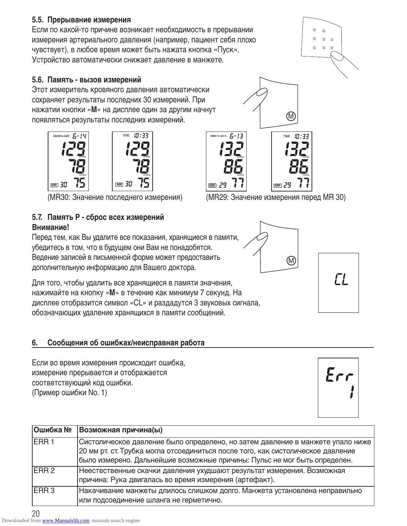Если по какой-то причине возникает необходимость в прерывании измерения артериального давления (например, пациент себя плохо чувствует), в любое время может быть нажата кнопка «Пуск». Устройство автоматически снижает давление в манжете.

#### **5.6. Память - вызов измерений**

Этот измеритель кровяного давления автоматически сохраняет результаты последних 30 измерений. При нажатии кнопки «**М**» на дисплее один за другим начнут появляться результаты последних измерений.



# **5.7. Память Р - сброс всех измерений Внимание!**

Перед тем, как Вы удалите все показания, хранящиеся в памяти, убедитесь в том, что в будущем они Вам не понадобятся. Ведение записей в письменной форме может предоставить дополнительную информацию для Вашего доктора.

Для того, чтобы удалить все хранящиеся в памяти значения, нажимайте на кнопку «**М**» в течение как минимум 7 секунд. На дисплее отобразится символ «CL» и раздадутся 3 звуковых сигнала, обозначающих удаление хранящихся в памяти сообщений.

# **6. Сообщения об ошибках/неисправная работа**

Если во время измерения происходит ошибка, измерение прерывается и отображается соответствующий код ошибки. (Пример ошибки No. 1)

| Ошибка №          | Возможная причина(ы)                                                            |
|-------------------|---------------------------------------------------------------------------------|
| <b>IERR1</b>      | Систолическое давление было определено, но затем давление в манжете упало ниже  |
|                   | 20 мм рт. ст. Трубка могла отсоединиться после того, как систолическое давление |
|                   | было измерено. Дальнейшие возможные причины: Пульс не мог быть определен.       |
| IERR <sub>2</sub> | Неестественные скачки давления ухудшают результат измерения. Возможная          |
|                   | причина: Рука двигалась во время измерения (артефакт).                          |
| <b>IERR3</b>      | Накачивание манжеты длилось слишком долго. Манжета установлена неправильно      |
|                   | или подсоединение шланга не герметично.                                         |

20 Downloaded from [www.Manualslib.com](http://www.manualslib.com/) manuals search engine



(MR30: Значение последнего измерения) (MR29: Значение измерения перед MR 30)







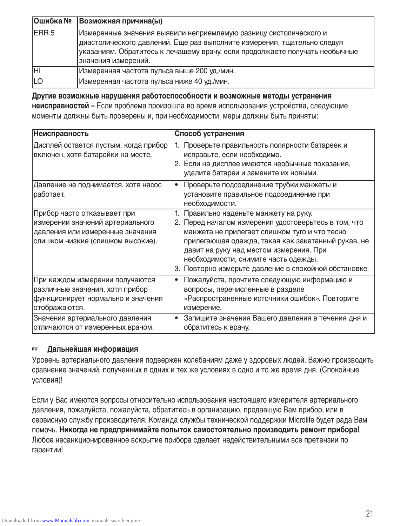| Ошибка №     | Возможная причина(ы)                                                                                                                                                                                                                               |
|--------------|----------------------------------------------------------------------------------------------------------------------------------------------------------------------------------------------------------------------------------------------------|
| <b>IERR5</b> | Измеренные значения выявили неприемлемую разницу систолического и<br>диастолического давлений. Еще раз выполните измерения, тщательно следуя<br>указаниям. Обратитесь к лечащему врачу, если продолжаете получать необычные<br>значения измерений. |
| ĪНI          | Измеренная частота пульса выше 200 уд./мин.                                                                                                                                                                                                        |
| <b>ILO</b>   | Измеренная частота пульса ниже 40 уд./мин.                                                                                                                                                                                                         |

**Другие возможные нарушения работоспособности и возможные методы устранения неисправностей –** Если проблема произошла во время использования устройства, следующие моменты должны быть проверены и, при необходимости, меры должны быть приняты:

| <b>Неисправность</b>                                                                                                                     | Способ устранения                                                                                                                                                                                                                                                                                                                                 |
|------------------------------------------------------------------------------------------------------------------------------------------|---------------------------------------------------------------------------------------------------------------------------------------------------------------------------------------------------------------------------------------------------------------------------------------------------------------------------------------------------|
| Дисплей остается пустым, когда прибор<br>включен, хотя батарейки на месте.                                                               | Проверьте правильность полярности батареек и<br>исправьте, если необходимо.<br>2. Если на дисплее имеются необычные показания,<br>удалите батареи и замените их новыми.                                                                                                                                                                           |
| Давление не поднимается, хотя насос<br>работает.                                                                                         | Проверьте подсоединение трубки манжеты и<br>$\bullet$<br>установите правильное подсоединение при<br>необходимости.                                                                                                                                                                                                                                |
| Прибор часто отказывает при<br>измерении значений артериального<br>давления или измеренные значения<br>слишком низкие (слишком высокие). | 1. Правильно наденьте манжету на руку.<br>2. Перед началом измерения удостоверьтесь в том, что<br>манжета не прилегает слишком туго и что тесно<br>прилегающая одежда, такая как закатанный рукав, не<br>давит на руку над местом измерения. При<br>необходимости, снимите часть одежды.<br>3. Повторно измерьте давление в спокойной обстановке. |
| При каждом измерении получаются<br>различные значения, хотя прибор<br>функционирует нормально и значения<br>отображаются.                | Пожалуйста, прочтите следующую информацию и<br>$\bullet$<br>вопросы, перечисленные в разделе<br>«Распространенные источники ошибок». Повторите<br>измерение.                                                                                                                                                                                      |
| Значения артериального давления<br>отличаются от измеренных врачом.                                                                      | Запишите значения Вашего давления в течения дня и<br>обратитесь к врачу.                                                                                                                                                                                                                                                                          |

#### ☞ **Дальнейшая информация**

Уровень артериального давления подвержен колебаниям даже у здоровых людей. Важно производить сравнение значений, полученных в одних и тех же условиях в одно и то же время дня. (Спокойные условия)!

Если у Вас имеются вопросы относительно использования настоящего измерителя артериального давления, пожалуйста, пожалуйста, обратитесь в организацию, продавшую Вам прибор, или в сервисную службу производителя. Команда службы технической поддержки Microlife будет рада Вам помочь. **Никогда не предпринимайте попыток самостоятельно производить ремонт прибора!** Любое несанкционированное вскрытие прибора сделает недействительными все претензии по гарантии!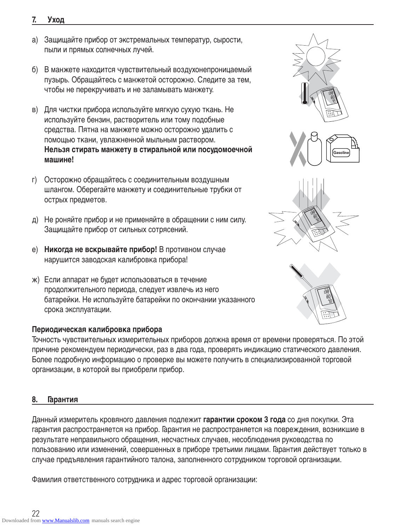# **Периодическая калибровка прибора**

Точность чувствительных измерительных приборов должна время от времени проверяться. По этой причине рекомендуем периодически, раз в два года, проверять индикацию статического давления. Более подробную информацию о проверке вы можете получить в специализированной торговой организации, в которой вы приобрели прибор.

# **8. Гарантия**

Данный измеритель кровяного давления подлежит **гарантии сроком 3 года** со дня покупки. Эта гарантия распространяется на прибор. Гарантия не распространяется на повреждения, возникшие в результате неправильного обращения, несчастных случаев, несоблюдения руководства по пользованию или изменений, совершенных в приборе третьими лицами. Гарантия действует только в случае предъявления гарантийного талона, заполненного сотрудником торговой организации.

Фамилия ответственного сотрудника и адрес торговой организации:

#### **7. Уход**

- a) Защищайте прибор от экстремальных температур, сырости, пыли и прямых солнечных лучей.
- б) В манжете находится чувствительный воздухонепроницаемый пузырь. Обращайтесь с манжетой осторожно. Следите за тем, чтобы не перекручивать и не заламывать манжету.
- в) Для чистки прибора используйте мягкую сухую ткань. Не используйте бензин, растворитель или тому подобные средства. Пятна на манжете можно осторожно удалить с помощью ткани, увлажненной мыльным раствором. **Нельзя стирать манжету в стиральной или посудомоечной машине!**
- г) Осторожно обращайтесь с соединительным воздушным шлангом. Оберегайте манжету и соединительные трубки от острых предметов.
- д) Не роняйте прибор и не применяйте в обращении с ним силу. Защищайте прибор от сильных сотрясений.
- е) **Никогда не вскрывайте прибор!** В противном случае нарушится заводская калибровка прибора!
- ж) Если аппарат не будет использоваться в течение продолжительного периода, следует извлечь из него батарейки. Не используйте батарейки по окончании указанного срока эксплуатации.









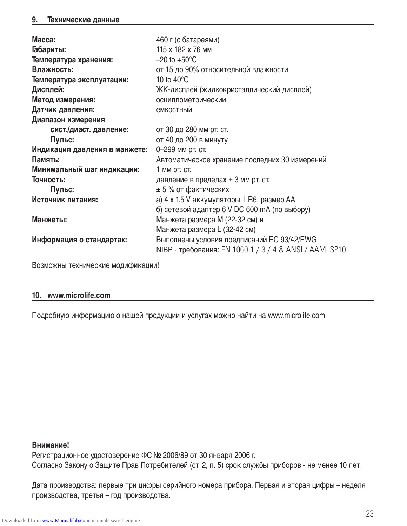| Macca:                        | 460 г (с батареями)                                     |
|-------------------------------|---------------------------------------------------------|
| Габариты:                     | 115 x 182 x 76 MM                                       |
| Температура хранения:         | $-20$ to $+50^{\circ}$ C                                |
| Влажность:                    | от 15 до 90% относительной влажности                    |
| Температура эксплуатации:     | 10 to $40^{\circ}$ C                                    |
| Дисплей:                      | ЖК-дисплей (жидкокристаллический дисплей)               |
| Метод измерения:              | осциллометрический                                      |
| Датчик давления:              | емкостный                                               |
| Диапазон измерения            |                                                         |
| сист./диаст. давление:        | от 30 до 280 мм рт. ст.                                 |
| Пульс:                        | от 40 до 200 в минуту                                   |
| Индикация давления в манжете: | 0-299 мм рт. ст.                                        |
| Память:                       | Автоматическое хранение последних 30 измерений          |
| Минимальный шаг индикации:    | 1 мм рт. ст.                                            |
| Точность:                     | давление в пределах ± 3 мм рт. ст.                      |
| Пульс:                        | $± 5$ % от фактических                                  |
| Источник питания:             | а) 4 х 1.5 V аккумуляторы; LR6, размер АА               |
|                               | б) сетевой адаптер 6 V DC 600 mA (по выбору)            |
| Манжеты:                      | Манжета размера М (22-32 см) и                          |
|                               | Манжета размера L (32-42 см)                            |
| Информация о стандартах:      | Выполнены условия предписаний EC 93/42/EWG              |
|                               | NIBP - требования: EN 1060-1 /-3 /-4 & ANSI / AAMI SP10 |

Возможны технические модификации!

#### **10. www.microlife.com**

Подробную информацию о нашей продукции и услугах можно найти на www.microlife.com

#### **Внимание!**

Регистрационное удостоверение ФC № 2006/89 от 30 января 2006 г. Согласно Закону о Защите Прав Потребителей (ст. 2, п. 5) срок службы приборов - не менее 10 лет.

Дата производства: первые три цифры серийного номера прибора. Первая и вторая цифры – неделя производства, третья – год производства.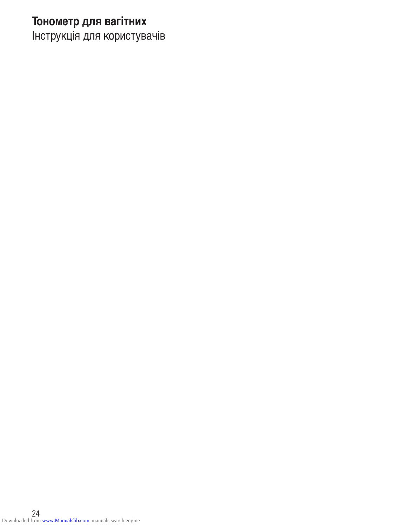# **Тонометр для вагітних**

Інструкція для користувачів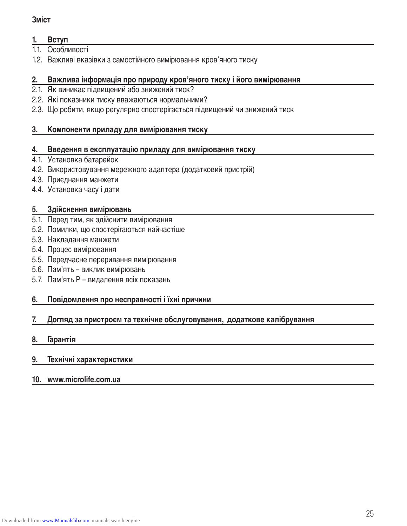# **1. Вступ**

- 1.1. Особливості
- 1.2. Важливі вказівки з самостійного вимірювання кров'яного тиску

#### **2. Важлива інформація про природу кров'яного тиску і його вимірювання**

- 2.1. Як виникає підвищений або знижений тиск?
- 2.2. Які показники тиску вважаються нормальними?
- 2.3. Що робити, якщо регулярно спостерігається підвищений чи знижений тиск

#### **3. Компоненти приладу для вимірювання тиску**

#### **4. Введення в експлуатацію приладу для вимірювання тиску**

- 4.1. Установка батарейок
- 4.2. Використовування мережного адаптера (додатковий пристрій)
- 4.3. Приєднання манжети
- 4.4. Установка часу і дати

#### **5. Здійснення вимірювань**

- 5.1. Перед тим, як здійснити вимірювання
- 5.2. Помилки, що спостерігаються найчастіше
- 5.3. Накладання манжети
- 5.4. Процес вимірювання
- 5.5. Передчасне переривання вимірювання
- 5.6. Пам'ять виклик вимірювань
- 5.7. Пам'ять Р видалення всіх показань

#### **6. Повідомлення про несправності і їхні причини**

# **7. Догляд за пристроєм та технічне обслуговування, додаткове калібрування**

#### **8. Гарантія**

#### **9. Технічні характеристики**

#### **10. www.microlife.com.ua**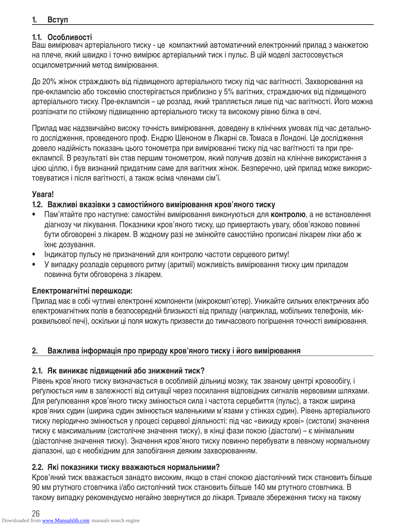# **1. Вступ**

# **1.1. Особливості**

Ваш вимірювач артеріального тиску - це компактний автоматичний електронний прилад з манжетою на плече, який швидко і точно вимірює артеріальний тиск і пульс. В цій моделі застосовується осцилометричний метод вимірювання.

До 20% жінок страждають від підвищеного артеріального тиску під час вагітності. Захворювання на пре-еклампсію або токсемію спостерігається приблизно у 5% вагітних, страждаючих від підвищеного артеріального тиску. Пре-еклампсія – це розлад, який трапляється лише під час вагітності. Його можна розпізнати по стійкому підвищенню артеріального тиску та високому рівню білка в сечі.

Прилад має надзвичайно високу точність вимірювання, доведену в клінічних умовах під час детального дослідження, проведеного проф. Ендрю Шеноном в Лікарні св. Томаса в Лондоні. Це дослідження довело надійність показань цього тонометра при вимірюванні тиску під час вагітності та при прееклампсії. В результаті він став першим тонометром, який получив дозвіл на клінічне використання з цією ціллю, і був визнаний придатним саме для вагітних жінок. Безперечно, цей прилад може використовуватися і після вагітності, а також всіма членами сім'ї.

# **Увага!**

# **1.2. Важливі вказівки з самостійного вимірювання кров'яного тиску**

- Пам'ятайте про наступне: самостійні вимірювання виконуються для **контролю**, а не встановлення діагнозу чи лікування. Показники кров'яного тиску, що привертають увагу, обов'язково повинні бути обговорені з лікарем. В жодному разі не змінюйте самостійно прописані лікарем ліки або ж їхнє дозування.
- Індикатор пульсу не призначений для контролю частоти серцевого ритму!
- У випадку розладів серцевого ритму (аритмії) можливість вимірювання тиску цим приладом повинна бути обговорена з лікарем.

# **Електромагнітні перешкоди:**

Прилад має в собі чутливі електронні компоненти (мікрокомп'ютер). Уникайте сильних електричних або електромагнітних полів в безпосередній близькості від приладу (наприклад, мобільних телефонів, мікрохвильової печі), оскільки ці поля можуть призвести до тимчасового погіршення точності вимірювання.

# **2. Важлива інформація про природу кров'яного тиску і його вимірювання**

# **2.1. Як виникає підвищений або знижений тиск?**

Рівень кров'яного тиску визначається в особливій дільниці мозку, так званому центрі кровообігу, і реґулюється ним в залежності від ситуації через посилання відповідних сигналів нервовими шляхами. Для реґулювання кров'яного тиску змінюється сила і частота серцебиття (пульс), а також ширина кров'яних судин (ширина судин змінюється маленькими м'язами у стінках судин). Рівень артеріального тиску періодично змінюється у процесі серцевої діяльності: під час «викиду крові» (систоли) значення тиску є максимальним (систолічне значення тиску), в кінці фази покою (діастоли) – є мінімальним (діастолічне значення тиску). Значення кров'яного тиску повинно перебувати в певному нормальному діапазоні, що є необхідним для запобігання деяким захворюванням.

# **2.2. Які показники тиску вважаються нормальними?**

Кров'яний тиск вважається занадто високим, якщо в стані спокою діастолічний тиск становить більше 90 мм ртутного стовпчика і/або систолічний тиск становить більше 140 мм ртутного стовпчика. В такому випадку рекомендуємо негайно звернутися до лікаря. Тривале збереження тиску на такому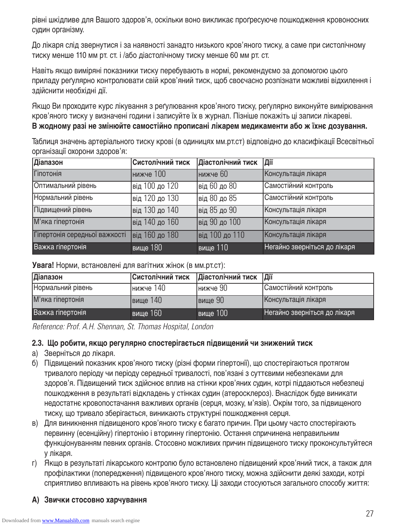рівні шкідливе для Вашого здоров'я, оскільки воно викликає проґресуюче пошкодження кровоносних судин організму.

До лікаря слід звернутися і за наявності занадто низького кров'яного тиску, а саме при систолічному тиску менше 110 мм рт. ст. і /або діастолічному тиску менше 60 мм рт. ст.

Навіть якщо виміряні показники тиску перебувають в нормі, рекомендуємо за допомогою цього приладу реґулярно контролювати свій кров'яний тиск, щоб своєчасно розпізнати можливі відхилення і здійснити необхідні дії.

Якщо Ви проходите курс лікування з реґулювання кров'яного тиску, реґулярно виконуйте вимірювання кров'яного тиску у визначені години і записуйте їх в журнал. Пізніше покажіть ці записи лікареві.

**В жодному разі не змінюйте самостійно прописані лікарем медикаменти або ж їхнє дозування.** 

Таблиця значень артеріального тиску крові (в одиницях мм.рт.ст) відповідно до класифікації Всесвітньої організації охорони здоров'я:

| Діапазон                      | Систолічний тиск | Діастолічний тиск | Дії                          |
|-------------------------------|------------------|-------------------|------------------------------|
| Гіпотонія                     | <b>НИЖЧЕ</b> 100 | нижче 60          | Консультація лікаря          |
| Оптимальний рівень            | від 100 до 120   | від 60 до 80      | Самостійний контроль         |
| Нормальний рівень             | від 120 до 130   | від 80 до 85      | Самостійний контроль         |
| Підвищений рівень             | від 130 до 140   | від 85 до 90      | Консультація лікаря          |
| М'яка гіпертонія              | від 140 до 160   | від 90 до 100     | Консультація лікаря          |
| Гіпертонія середньої важкості | від 160 до 180   | від 100 до 110    | Консультація лікаря          |
| Важка гіпертонія              | вище 180         | вище 110          | Негайно зверніться до лікаря |

**Увага!** Норми, встановлені для вагітних жінок (в мм.рт.ст):

| Діапазон          | Систолічний тиск | Діастолічний тиск  Дії |                              |
|-------------------|------------------|------------------------|------------------------------|
| Нормальний рівень | Інижче 140       | Інижче 90              | Самостійний контроль         |
| М'яка гіпертонія  | вище 140         | вище 90                | Консультація лікаря          |
| Важка гіпертонія  | вище 160         | вище 100               | Негайно зверніться до лікаря |

Reference: Prof. A.H. Shennan, St. Thomas Hospital, London

#### **2.3. Що робити, якщо регулярно спостерігається підвищений чи знижений тиск**

- a) Зверніться до лікаря.
- б) Підвищений показник кров'яного тиску (різні форми гіпертонії), що спостерігаються протягом тривалого періоду чи періоду середньої тривалості, пов'язані з суттєвими небезпеками для здоров'я. Підвищений тиск здійснює вплив на стінки кров'яних судин, котрі піддаються небезпеці пошкодження в результаті відкладень у стінках судин (атеросклероз). Внаслідок буде виникати недостатнє кровопостачання важливих органів (серця, мозку, м'язів). Окрім того, за підвищеного тиску, що тривало зберігається, виникають структурні пошкодження серця.
- в) Для виникнення підвищеного кров'яного тиску є багато причин. При цьому часто спостерігають первинну (есенційну) гіпертонію і вторинну гіпертонію. Остання спричинена неправильним функціонуванням певних органів. Стосовно можливих причин підвищеного тиску проконсультуйтеся у лікаря.
- г) Якщо в результаті лікарського контролю було встановлено підвищений кров'яний тиск, а також для профілактики (попередження) підвищеного кров'яного тиску, можна здійснити деякі заходи, котрі сприятливо впливають на рівень кров'яного тиску. Ці заходи стосуються загального способу життя:
- **А) Звички стосовно харчування**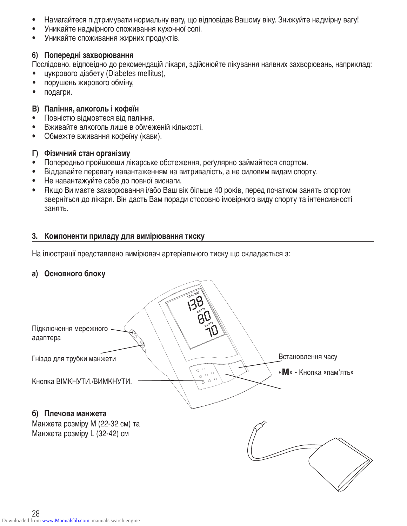- Намагайтеся підтримувати нормальну вагу, що відповідає Вашому віку. Знижуйте надмірну вагу!
- Уникайте надмірного споживання кухонної солі.
- Уникайте споживання жирних продуктів.

# **6) Попередні захворювання**

Послідовно, відповідно до рекомендацій лікаря, здійснюйте лікування наявних захворювань, наприклад: • цукрового діабету (Diabetes mellitus),

- порушень жирового обміну,
- подагри.

# **В) Паління, алкоголь і кофеїн**

- Повністю відмовтеся від паління.
- Вживайте алкоголь лише в обмеженій кількості.
- Обмежте вживання кофеїну (кави).

# **Г) Фізичний стан організму**

- Попередньо пройшовши лікарське обстеження, реґулярно займайтеся спортом.
- Віддавайте перевагу навантаженням на витривалість, а не силовим видам спорту.
- Не навантажуйте себе до повної виснаги.
- Якщо Ви маєте захворювання і/або Ваш вік більше 40 років, перед початком занять спортом зверніться до лікаря. Він дасть Вам поради стосовно імовірного виду спорту та інтенсивності занять.

# **3. Компоненти приладу для вимірювання тиску**

На ілюстрації представлено вимірювач артеріального тиску що складається з:

# **a) Основного блоку**

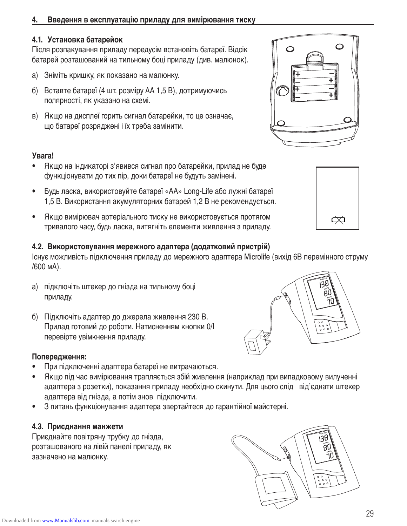# **4. Введення в експлуатацію приладу для вимірювання тиску**

# **4.1. Установка батарейок**

Після розпакування приладу передусім встановіть батареї. Відсік батарей розташований на тильному боці приладу (див. малюнок).

- a) Зніміть кришку, як показано на малюнку.
- б) Вставте батареї (4 шт. розміру АА 1,5 В), дотримуючись полярності, як указано на схемі.
- в) Якщо на дисплеї горить сигнал батарейки, то це означає, що батареї розряджені і їх треба замінити.

#### **Увага!**

- Якщо на індикаторі з'явився сигнал про батарейки, прилад не буде функціонувати до тих пір, доки батареї не будуть замінені.
- Будь ласка, використовуйте батареї «АА» Long-Life або лужні батареї 1,5 В. Використання акумуляторних батарей 1,2 В не рекомендується.
- Якщо вимірювач артеріального тиску не використовується протягом тривалого часу, будь ласка, витягніть елементи живлення з приладу.

#### **4.2. Використовування мережного адаптера (додатковий пристрій)**

Існує можливість підключення приладу до мережного адаптера Microlife (вихід 6В перемінного струму /600 мА).

- a) підключіть штекер до гнізда на тильному боці приладу.
- б) Підключіть адаптер до джерела живлення 230 В. Прилад готовий до роботи. Натисненням кнопки 0/І перевірте увімкнення приладу.

# **Попередження:**

- При підключенні адаптера батареї не витрачаються.
- Якщо під час вимірювання трапляється збій живлення (наприклад при випадковому вилученні адаптера з розетки), показання приладу необхідно скинути. Для цього слід від'єднати штекер адаптера від гнізда, а потім знов підключити.
- З питань функціонування адаптера звертайтеся до гарантійної майстерні.

# **4.3. Приєднання манжети**

Приєднайте повітряну трубку до гнізда, розташованого на лівій панелі приладу, як зазначено на малюнку.









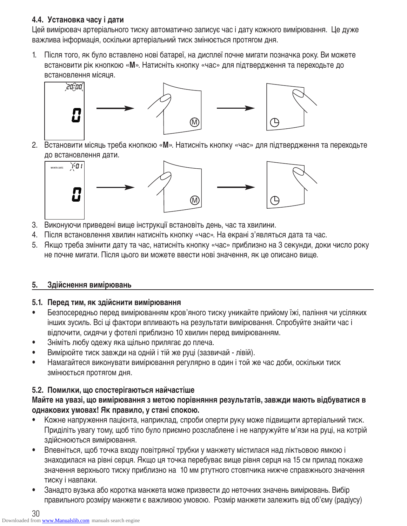# **4.4. Установка часу і дати**

Цей вимірювач артеріального тиску автоматично записує час і дату кожного вимірювання. Це дуже важлива інформація, оскільки артеріальний тиск змінюється протягом дня.

1. Після того, як було вставлено нові батареї, на дисплеї почне мигати позначка року. Ви можете встановити рік кнопкою «**М**». Натисніть кнопку «час» для підтвердження та переходьте до встановлення місяця.



2. Встановити місяць треба кнопкою «**М**». Натисніть кнопку «час» для підтвердження та переходьте до встановлення дати.



- 3. Виконуючи приведені вище інструкції встановіть день, час та хвилини.
- 4. Після встановлення хвилин натисніть кнопку «час». На екрані з'являться дата та час.
- 5. Якщо треба змінити дату та час, натисніть кнопку «час» приблизно на 3 секунди, доки число року не почне мигати. Після цього ви можете ввести нові значення, як це описано вище.

# **5. Здійснення вимірювань**

# **5.1. Перед тим, як здійснити вимірювання**

- Безпосередньо перед вимірюванням кров'яного тиску уникайте прийому їжі, паління чи усіляких інших зусиль. Всі ці фактори впливають на результати вимірювання. Спробуйте знайти час і відпочити, сидячи у фотелі приблизно 10 хвилин перед вимірюванням.
- Зніміть любу одежу яка щільно прилягає до плеча.
- Вимірюйте тиск завжди на одній і тій же руці (зазвичай лівій).
- Намагайтеся виконувати вимірювання регулярно в один і той же час доби, оскільки тиск змінюється протягом дня.

# **5.2. Помилки, що спостерігаються найчастіше**

# **Майте на увазі, що вимірювання з метою порівняння результатів, завжди мають відбуватися в однакових умовах! Як правило, у стані спокою.**

- Кожне напруження пацієнта, наприклад, спроби оперти руку може підвищити артеріальний тиск. Приділіть увагу тому, щоб тіло було приємно розслаблене і не напружуйте м'язи на руці, на котрій здійснюються вимірювання.
- Впевніться, щоб точка входу повітряної трубки у манжету містилася над ліктьовою ямкою і знаходилася на рівні серця. Якщо ця точка перебуває вище рівня серця на 15 см прилад покаже значення верхнього тиску приблизно на 10 мм ртутного стовпчика нижче справжнього значення тиску і навпаки.
- Занадто вузька або коротка манжета може призвести до неточних значень вимірювань. Вибір правильного розміру манжети є важливою умовою. Розмір манжети залежить від об'єму (радіусу)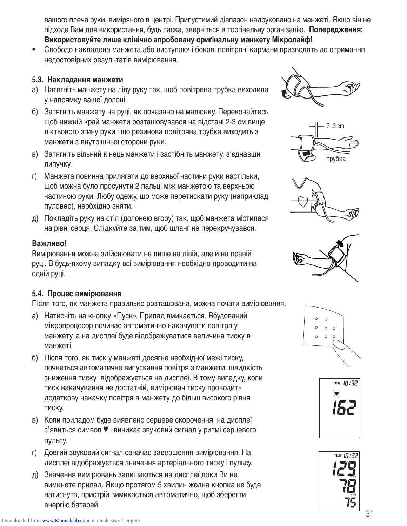вашого плеча руки, виміряного в центрі. Припустимий діапазон надруковано на манжеті. Якщо він не підходе Вам для використання, будь ласка, зверніться в торгівельну організацію. **Попередження: Використовуйте лише клінічно апробовану ориґінальну манжету Мікролайф!**

• Свободо накладена манжета або виступаючі бокові повітряні кармани призводять до отримання недостовірних результатів вимірювання.

#### **5.3. Накладання манжети**

- a) Натягніть манжету на ліву руку так, щоб повітряна трубка виходила у напрямку вашої долоні.
- б) Затягніть манжету на руці, як показано на малюнку. Переконайтесь щоб нижній край манжети розташовувався на відстані 2-3 см вище ліктьового згину руки і що резинова повітряна трубка виходить з манжети з внутрішньої сторони руки.
- в) Затягніть вільний кінець манжети і застібніть манжету, з'єднавши липучку.
- г) Манжета повинна прилягати до верхньої частини руки настільки, щоб можна було просунути 2 пальці між манжетою та верхньою частиною руки. Любу одежу, що може перетискати руку (наприклад пуловер), необхідно зняти.
- д) Покладіть руку на стіл (долонею вгору) так, щоб манжета містилася на рівні серця. Слідкуйте за тим, щоб шланг не перекручувався.

# **Важливо!**

Вимірювання можна здійснювати не лише на лівій, але й на правій руці. В будь-якому випадку всі вимірювання необхідно проводити на одній руці.

# **5.4. Процес вимірювання**

Після того, як манжета правильно розташована, можна почати вимірювання.

- a) Натисніть на кнопку «Пуск». Прилад вмикається. Вбудований мікропроцесор починає автоматично накачувати повітря у манжету, а на дисплеї буде відображуватися величина тиску в манжеті.
- б) Після того, як тиск у манжеті досягне необхідної межі тиску, почнеться автоматичне випускання повітря з манжети. швидкість зниження тиску відображується на дисплеї. В тому випадку, коли тиск накачування не достатній, вимірювач тиску проводить додаткову накачку повітря в манжету до більш високого рівня тиску.
- в) Коли приладом буде виявлено серцеве скорочення, на дисплеї з'явиться символ ♥ і виникає звуковий сигнал у ритмі серцевого пульсу.
- г) Довгий звуковий сигнал означає завершення вимірювання. На дисплеї відображується значення артеріального тиску і пульсу.
- д) Значення вимірювань залишаються на дисплеї доки Ви не вимкнете прилад. Якщо протягом 5 хвилин жодна кнопка не буде натиснута, пристрій вимикається автоматично, щоб зберегти енергію батарей.













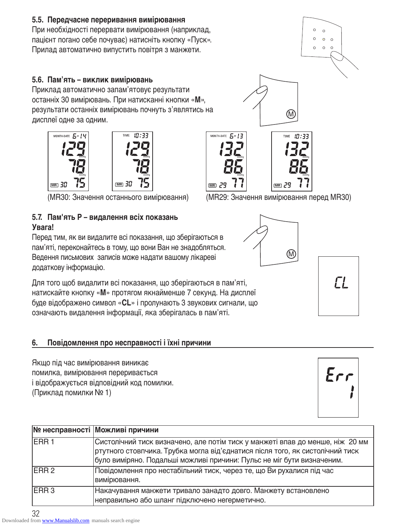# **5.5. Передчасне переривання вимірювання**

При необхідності перервати вимірювання (наприклад, пацієнт погано себе почуває) натисніть кнопку «Пуск». Прилад автоматично випустить повітря з манжети.

# **5.6. Пам'ять – виклик вимірювань**

Приклад автоматично запам'ятовує результати останніх 30 вимірювань. При натисканні кнопки «**М**», результати останніх вимірювань почнуть з'являтись на дисплеї одне за одним.



# **5.7. Пам'ять Р – видалення всіх показань Увага!**

Перед тим, як ви видалите всі показання, що зберігаються в пам'яті, переконайтесь в тому, що вони Ван не знадобляться. Ведення письмових записів може надати вашому лікареві додаткову інформацію.

Для того щоб видалити всі показання, що зберігаються в пам'яті, натискайте кнопку «**М**» протягом якнайменше 7 секунд. На дисплеї буде відображено символ «**CL**» і пролунають 3 звукових сигнали, що означають видалення інформації, яка зберігалась в пам'яті.

# **6. Повідомлення про несправності і їхні причини**

Якщо під час вимірювання виникає помилка, вимірювання переривається і відображується відповідний код помилки. (Приклад помилки № 1)

|                  | № несправності Можливі причини                                                                                                                                                                                                           |
|------------------|------------------------------------------------------------------------------------------------------------------------------------------------------------------------------------------------------------------------------------------|
| <b>IERR1</b>     | Систолічний тиск визначено, але потім тиск у манжеті впав до менше, ніж 20 мм<br>ртутного стовпчика. Трубка могла від'єднатися після того, як систолічний тиск<br>було виміряно. Подальші можливі причини: Пульс не міг бути визначеним. |
| <b>IERR 2</b>    | Повідомлення про нестабільний тиск, через те, що Ви рухалися під час<br>вимірювання.                                                                                                                                                     |
| ERR <sub>3</sub> | Накачування манжети тривало занадто довго. Манжету встановлено<br>неправильно або шланг підключено негерметично.                                                                                                                         |



(MR30: Значення останнього вимірювання) (MR29: Значення вимірювання перед MR30)





 $\circ$  $\circ$  $\circ$  $\circ$  $\circ$ 

 $\circ$ 

| Er<br>i. |
|----------|
|----------|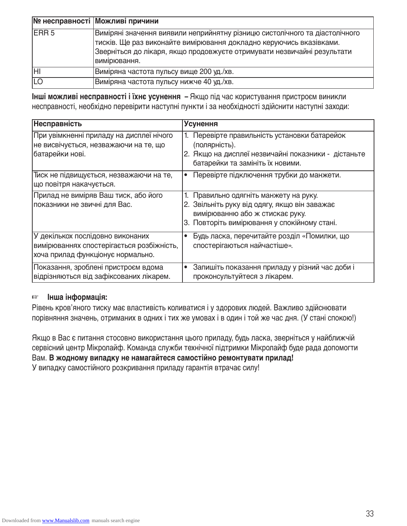|               | № несправності Можливі причини                                                                                                                                                                                                                |
|---------------|-----------------------------------------------------------------------------------------------------------------------------------------------------------------------------------------------------------------------------------------------|
| <b>IERR 5</b> | Виміряні значення виявили неприйнятну різницю систолічного та діастолічного<br>тисків. Ще раз виконайте вимірювання докладно керуючись вказівками.<br>Зверніться до лікаря, якщо продовжуєте отримувати незвичайні результати<br>вимірювання. |
| lнı           | Виміряна частота пульсу вище 200 уд./хв.                                                                                                                                                                                                      |
| <b>LO</b>     | Виміряна частота пульсу нижче 40 уд./хв.                                                                                                                                                                                                      |

**Інші можливі несправності і їхнє усунення –** Якщо під час користування пристроєм виникли несправності, необхідно перевірити наступні пункти і за необхідності здійснити наступні заходи:

| Несправність                                                                                                       | <b>Усунення</b>                                                                                                                                                            |
|--------------------------------------------------------------------------------------------------------------------|----------------------------------------------------------------------------------------------------------------------------------------------------------------------------|
| При увімкненні приладу на дисплеї нічого<br>не висвічується, незважаючи на те, що<br>батарейки нові.               | Перевірте правильність установки батарейок<br>(полярність).<br>2. Якщо на дисплеї незвичайні показники - дістаньте<br>батарейки та замініть їх новими.                     |
| Тиск не підвищується, незважаючи на те,<br>що повітря накачується.                                                 | Перевірте підключення трубки до манжети.<br>٠                                                                                                                              |
| Прилад не виміряв Ваш тиск, або його<br>показники не звичні для Вас.                                               | 1. Правильно одягніть манжету на руку.<br>2. Звільніть руку від одягу, якщо він заважає<br>вимірюванню або ж стискає руку.<br>3. Повторіть вимірювання у спокійному стані. |
| У декількох послідовно виконаних<br>вимірюваннях спостерігається розбіжність,<br>хоча прилад функціонує нормально. | Будь ласка, перечитайте розділ «Помилки, що<br>$\bullet$<br>спостерігаються найчастіше».                                                                                   |
| Показання, зроблені пристроєм вдома<br>відрізняються від зафіксованих лікарем.                                     | Запишіть показання приладу у різний час доби і<br>$\bullet$<br>проконсультуйтеся з лікарем.                                                                                |

#### ☞ **Інша інформація:**

Рівень кров'яного тиску має властивість коливатися і у здорових людей. Важливо здійснювати порівняння значень, отриманих в одних і тих же умовах і в один і той же час дня. (У стані спокою!)

Якщо в Вас є питання стосовно використання цього приладу, будь ласка, зверніться у найближчій сервісний центр Мікролайф. Команда служби технічної підтримки Мікролайф буде рада допомогти Вам. **В жодному випадку не намагайтеся самостійно ремонтувати прилад!** У випадку самостійного розкривання приладу гарантія втрачає силу!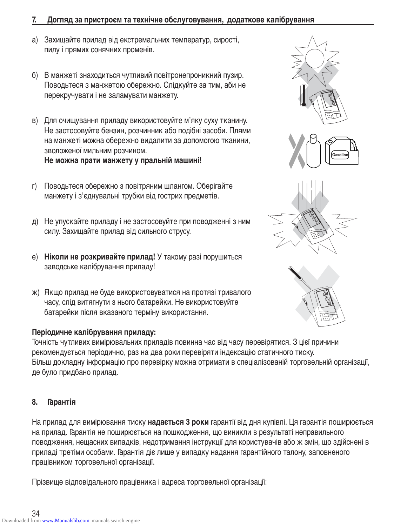#### **7. Догляд за пристроєм та технічне обслуговування, додаткове калібрування**

- a) Захищайте прилад від екстремальних температур, сирості, пилу і прямих сонячних променів.
- б) В манжеті знаходиться чутливий повітронепроникний пузир. Поводьтеся з манжетою обережно. Слідкуйте за тим, аби не перекручувати і не заламувати манжету.
- в) Для очищування приладу використовуйте м'яку суху тканину. Не застосовуйте бензин, розчинник або подібні засоби. Плями на манжеті можна обережно видалити за допомогою тканини, зволоженої мильним розчином. **Не можна прати манжету у пральній машині!**
- г) Поводьтеся обережно з повітряним шлангом. Оберігайте манжету і з'єднувальні трубки від гострих предметів.
- д) Не упускайте приладу і не застосовуйте при поводженні з ним силу. Захищайте прилад від сильного струсу.
- е) **Ніколи не розкривайте прилад!** У такому разі порушиться заводське калібрування приладу!
- ж) Якщо прилад не буде використовуватися на протязі тривалого часу, слід витягнути з нього батарейки. Не використовуйте батарейки після вказаного терміну використання.

# **Періодичне калібрування приладу:**

Точність чутливих вимірювальних приладів повинна час від часу перевірятися. З цієї причини рекомендується періодично, раз на два роки перевіряти індексацію статичного тиску. Більш докладну інформацію про перевірку можна отримати в спеціалізованій торговельній організації, де було придбано прилад.

#### **8. Гарантія**

На прилад для вимірювання тиску **надається 3 роки** гарантії від дня купівлі. Ця гарантія поширюється на прилад. Гарантія не поширюється на пошкодження, що виникли в результаті неправильного поводження, нещасних випадків, недотримання інструкції для користувачів або ж змін, що здійснені в приладі третіми особами. Гарантія діє лише у випадку надання гарантійного талону, заповненого працівником торговельної організації.

Прізвище відповідального працівника і адреса торговельної організації: